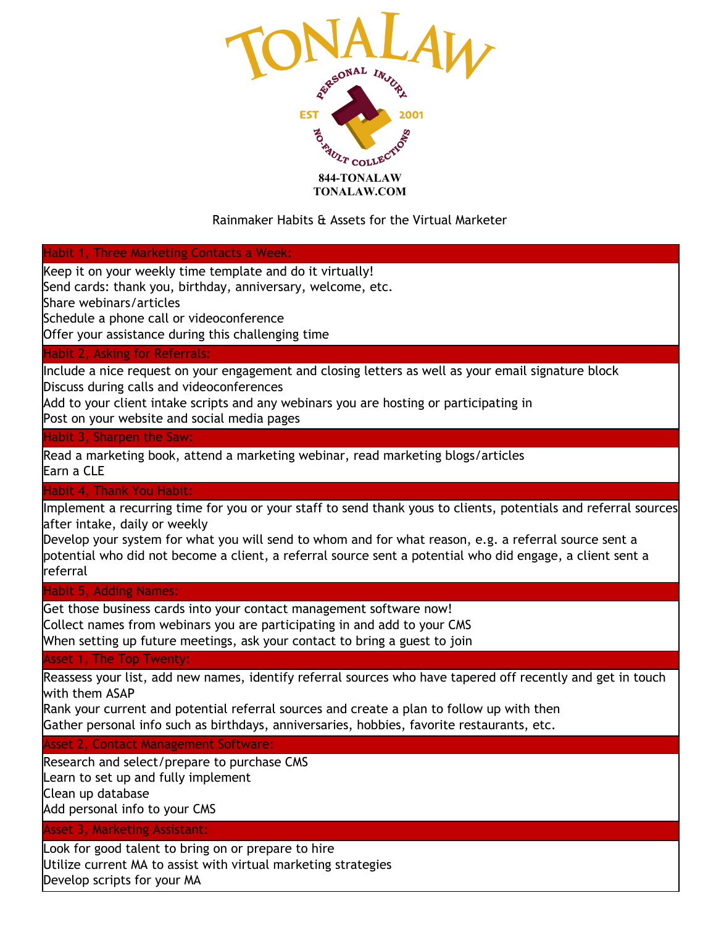

# Rainmaker Habits & Assets for the Virtual Marketer

### Habit 1, Three Marketing Contacts a Week:

Keep it on your weekly time template and do it virtually!

Send cards: thank you, birthday, anniversary, welcome, etc.

Share webinars/articles

Schedule a phone call or videoconference

Offer your assistance during this challenging time

### Habit 2, Asking for Referrals:

Include a nice request on your engagement and closing letters as well as your email signature block Discuss during calls and videoconferences

Add to your client intake scripts and any webinars you are hosting or participating in

Post on your website and social media pages

## Habit 3, Sharpen the Saw:

Read a marketing book, attend a marketing webinar, read marketing blogs/articles Earn a CLE

## Habit 4, Thank You Habit:

Implement a recurring time for you or your staff to send thank yous to clients, potentials and referral sources after intake, daily or weekly

Develop your system for what you will send to whom and for what reason, e.g. a referral source sent a potential who did not become a client, a referral source sent a potential who did engage, a client sent a referral

Habit 5, Adding Names:

Get those business cards into your contact management software now! Collect names from webinars you are participating in and add to your CMS When setting up future meetings, ask your contact to bring a guest to join

### Asset 1, The Top Twenty:

Reassess your list, add new names, identify referral sources who have tapered off recently and get in touch with them ASAP

Rank your current and potential referral sources and create a plan to follow up with then Gather personal info such as birthdays, anniversaries, hobbies, favorite restaurants, etc.

Asset 2, Contact Management Software:

Research and select/prepare to purchase CMS Learn to set up and fully implement Clean up database

Add personal info to your CMS

## Asset 3, Marketing Assistant:

Look for good talent to bring on or prepare to hire Utilize current MA to assist with virtual marketing strategies Develop scripts for your MA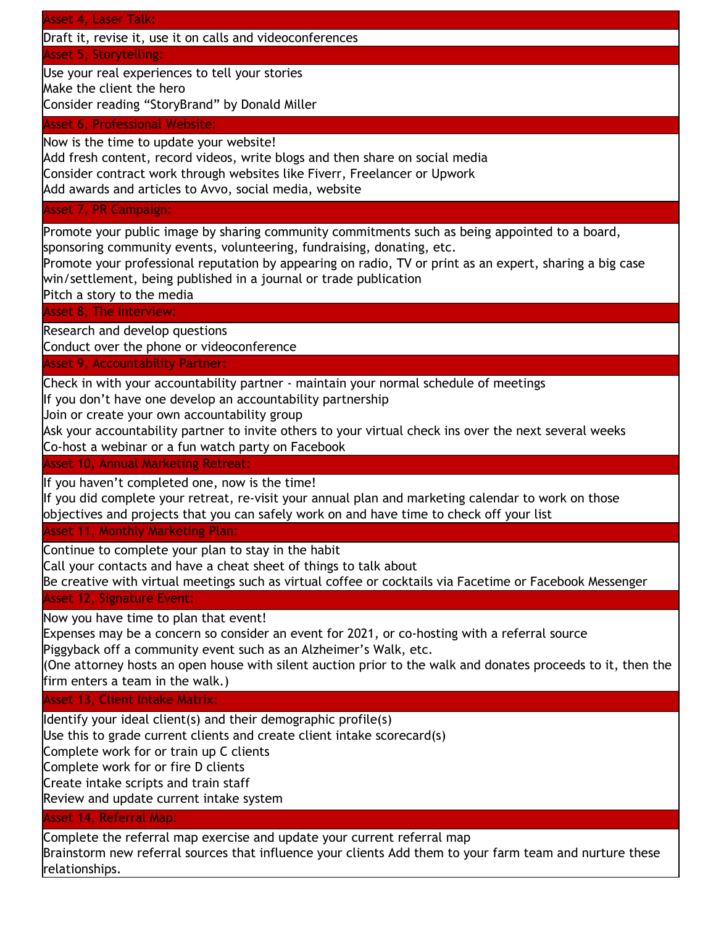## Asset 4, Laser Talk:

Draft it, revise it, use it on calls and videoconferences

Asset 5, Storytelling:

Use your real experiences to tell your stories

Make the client the hero

Consider reading "StoryBrand" by Donald Miller

## Asset 6, Professional Website:

Now is the time to update your website!

Add fresh content, record videos, write blogs and then share on social media Consider contract work through websites like Fiverr, Freelancer or Upwork Add awards and articles to Avvo, social media, website

Asset 7, PR Campaign:

Promote your public image by sharing community commitments such as being appointed to a board, sponsoring community events, volunteering, fundraising, donating, etc.

Promote your professional reputation by appearing on radio, TV or print as an expert, sharing a big case win/settlement, being published in a journal or trade publication

Pitch a story to the media

# Asset 8, The Interview:

Research and develop questions

Conduct over the phone or videoconference

## Asset 9, Accountability Partner:

Check in with your accountability partner - maintain your normal schedule of meetings

If you don't have one develop an accountability partnership

Join or create your own accountability group

Ask your accountability partner to invite others to your virtual check ins over the next several weeks Co-host a webinar or a fun watch party on Facebook

### Asset 10, Annual Marketing Retreat:

If you haven't completed one, now is the time!

If you did complete your retreat, re-visit your annual plan and marketing calendar to work on those objectives and projects that you can safely work on and have time to check off your list

### Asset 11, Monthly Marketing Plan:

Continue to complete your plan to stay in the habit

Call your contacts and have a cheat sheet of things to talk about

Be creative with virtual meetings such as virtual coffee or cocktails via Facetime or Facebook Messenger

# Asset 12, Signature Event:

Now you have time to plan that event!

Expenses may be a concern so consider an event for 2021, or co-hosting with a referral source Piggyback off a community event such as an Alzheimer's Walk, etc.

(One attorney hosts an open house with silent auction prior to the walk and donates proceeds to it, then the firm enters a team in the walk.)

Asset 13, Client Intake Matrix:

Identify your ideal client(s) and their demographic profile(s)

Use this to grade current clients and create client intake scorecard(s)

Complete work for or train up C clients

Complete work for or fire D clients

Create intake scripts and train staff

Review and update current intake system

# Asset 14, Referral Map:

Complete the referral map exercise and update your current referral map Brainstorm new referral sources that influence your clients Add them to your farm team and nurture these relationships.